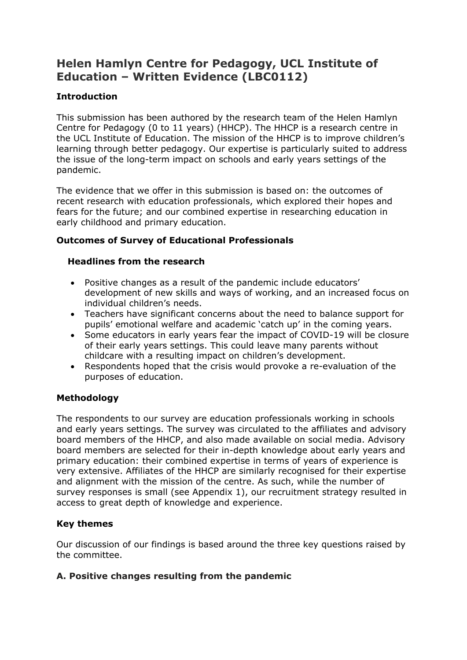# **Helen Hamlyn Centre for Pedagogy, UCL Institute of Education – Written Evidence (LBC0112)**

# **Introduction**

This submission has been authored by the research team of the Helen Hamlyn Centre for Pedagogy (0 to 11 years) (HHCP). The HHCP is a research centre in the UCL Institute of Education. The mission of the HHCP is to improve children's learning through better pedagogy. Our expertise is particularly suited to address the issue of the long-term impact on schools and early years settings of the pandemic.

The evidence that we offer in this submission is based on: the outcomes of recent research with education professionals, which explored their hopes and fears for the future; and our combined expertise in researching education in early childhood and primary education.

# **Outcomes of Survey of Educational Professionals**

### **Headlines from the research**

- Positive changes as a result of the pandemic include educators' development of new skills and ways of working, and an increased focus on individual children's needs.
- Teachers have significant concerns about the need to balance support for pupils' emotional welfare and academic 'catch up' in the coming years.
- Some educators in early years fear the impact of COVID-19 will be closure of their early years settings. This could leave many parents without childcare with a resulting impact on children's development.
- Respondents hoped that the crisis would provoke a re-evaluation of the purposes of education.

# **Methodology**

The respondents to our survey are education professionals working in schools and early years settings. The survey was circulated to the affiliates and advisory board members of the HHCP, and also made available on social media. Advisory board members are selected for their in-depth knowledge about early years and primary education: their combined expertise in terms of years of experience is very extensive. Affiliates of the HHCP are similarly recognised for their expertise and alignment with the mission of the centre. As such, while the number of survey responses is small (see Appendix 1), our recruitment strategy resulted in access to great depth of knowledge and experience.

# **Key themes**

Our discussion of our findings is based around the three key questions raised by the committee.

# **A. Positive changes resulting from the pandemic**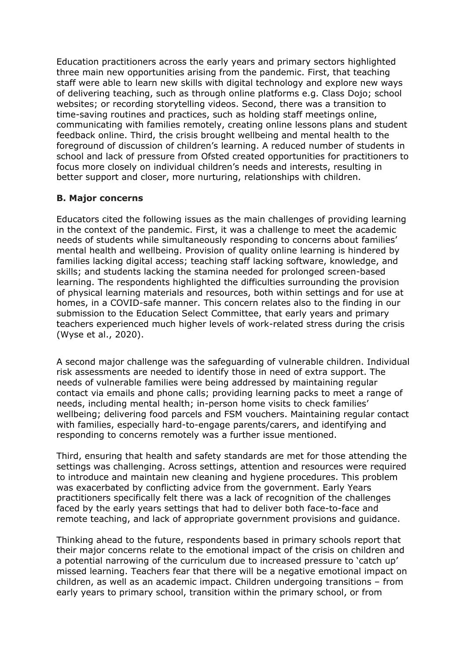Education practitioners across the early years and primary sectors highlighted three main new opportunities arising from the pandemic. First, that teaching staff were able to learn new skills with digital technology and explore new ways of delivering teaching, such as through online platforms e.g. Class Dojo; school websites; or recording storytelling videos. Second, there was a transition to time-saving routines and practices, such as holding staff meetings online, communicating with families remotely, creating online lessons plans and student feedback online. Third, the crisis brought wellbeing and mental health to the foreground of discussion of children's learning. A reduced number of students in school and lack of pressure from Ofsted created opportunities for practitioners to focus more closely on individual children's needs and interests, resulting in better support and closer, more nurturing, relationships with children.

#### **B. Major concerns**

Educators cited the following issues as the main challenges of providing learning in the context of the pandemic. First, it was a challenge to meet the academic needs of students while simultaneously responding to concerns about families' mental health and wellbeing. Provision of quality online learning is hindered by families lacking digital access; teaching staff lacking software, knowledge, and skills; and students lacking the stamina needed for prolonged screen-based learning. The respondents highlighted the difficulties surrounding the provision of physical learning materials and resources, both within settings and for use at homes, in a COVID-safe manner. This concern relates also to the finding in our submission to the Education Select Committee, that early years and primary teachers experienced much higher levels of work-related stress during the crisis (Wyse et al., 2020).

A second major challenge was the safeguarding of vulnerable children. Individual risk assessments are needed to identify those in need of extra support. The needs of vulnerable families were being addressed by maintaining regular contact via emails and phone calls; providing learning packs to meet a range of needs, including mental health; in-person home visits to check families' wellbeing; delivering food parcels and FSM vouchers. Maintaining regular contact with families, especially hard-to-engage parents/carers, and identifying and responding to concerns remotely was a further issue mentioned.

Third, ensuring that health and safety standards are met for those attending the settings was challenging. Across settings, attention and resources were required to introduce and maintain new cleaning and hygiene procedures. This problem was exacerbated by conflicting advice from the government. Early Years practitioners specifically felt there was a lack of recognition of the challenges faced by the early years settings that had to deliver both face-to-face and remote teaching, and lack of appropriate government provisions and guidance.

Thinking ahead to the future, respondents based in primary schools report that their major concerns relate to the emotional impact of the crisis on children and a potential narrowing of the curriculum due to increased pressure to 'catch up' missed learning. Teachers fear that there will be a negative emotional impact on children, as well as an academic impact. Children undergoing transitions – from early years to primary school, transition within the primary school, or from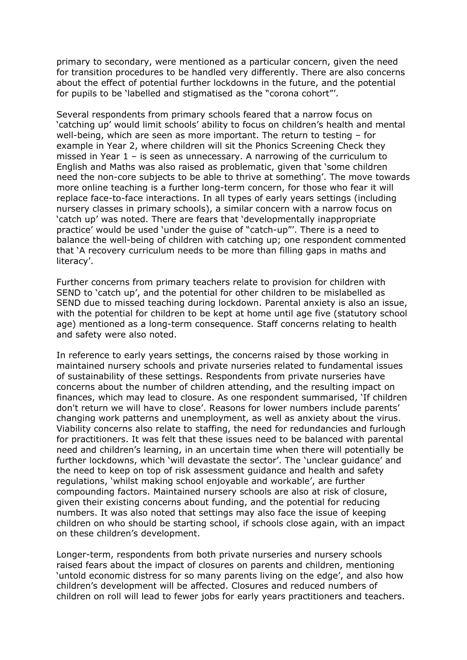primary to secondary, were mentioned as a particular concern, given the need for transition procedures to be handled very differently. There are also concerns about the effect of potential further lockdowns in the future, and the potential for pupils to be 'labelled and stigmatised as the "corona cohort"'.

Several respondents from primary schools feared that a narrow focus on 'catching up' would limit schools' ability to focus on children's health and mental well-being, which are seen as more important. The return to testing – for example in Year 2, where children will sit the Phonics Screening Check they missed in Year 1 – is seen as unnecessary. A narrowing of the curriculum to English and Maths was also raised as problematic, given that 'some children need the non-core subjects to be able to thrive at something'. The move towards more online teaching is a further long-term concern, for those who fear it will replace face-to-face interactions. In all types of early years settings (including nursery classes in primary schools), a similar concern with a narrow focus on 'catch up' was noted. There are fears that 'developmentally inappropriate practice' would be used 'under the guise of "catch-up"'. There is a need to balance the well-being of children with catching up; one respondent commented that 'A recovery curriculum needs to be more than filling gaps in maths and literacy'.

Further concerns from primary teachers relate to provision for children with SEND to 'catch up', and the potential for other children to be mislabelled as SEND due to missed teaching during lockdown. Parental anxiety is also an issue, with the potential for children to be kept at home until age five (statutory school age) mentioned as a long-term consequence. Staff concerns relating to health and safety were also noted.

In reference to early years settings, the concerns raised by those working in maintained nursery schools and private nurseries related to fundamental issues of sustainability of these settings. Respondents from private nurseries have concerns about the number of children attending, and the resulting impact on finances, which may lead to closure. As one respondent summarised, 'If children don't return we will have to close'. Reasons for lower numbers include parents' changing work patterns and unemployment, as well as anxiety about the virus. Viability concerns also relate to staffing, the need for redundancies and furlough for practitioners. It was felt that these issues need to be balanced with parental need and children's learning, in an uncertain time when there will potentially be further lockdowns, which 'will devastate the sector'. The 'unclear guidance' and the need to keep on top of risk assessment guidance and health and safety regulations, 'whilst making school enjoyable and workable', are further compounding factors. Maintained nursery schools are also at risk of closure, given their existing concerns about funding, and the potential for reducing numbers. It was also noted that settings may also face the issue of keeping children on who should be starting school, if schools close again, with an impact on these children's development.

Longer-term, respondents from both private nurseries and nursery schools raised fears about the impact of closures on parents and children, mentioning 'untold economic distress for so many parents living on the edge', and also how children's development will be affected. Closures and reduced numbers of children on roll will lead to fewer jobs for early years practitioners and teachers.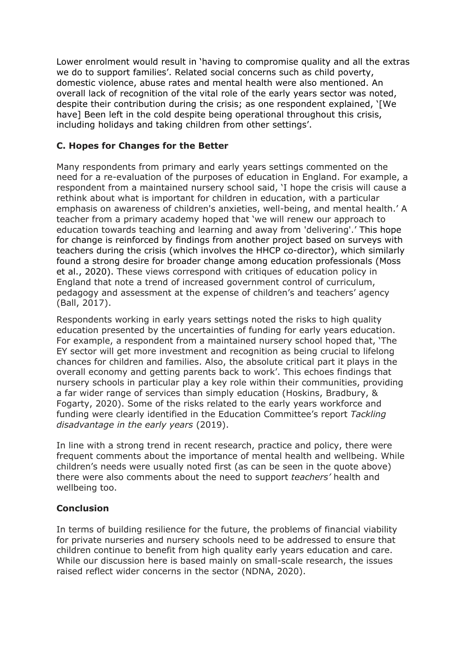Lower enrolment would result in 'having to compromise quality and all the extras we do to support families'. Related social concerns such as child poverty, domestic violence, abuse rates and mental health were also mentioned. An overall lack of recognition of the vital role of the early years sector was noted, despite their contribution during the crisis; as one respondent explained, '[We have] Been left in the cold despite being operational throughout this crisis, including holidays and taking children from other settings'.

### **C. Hopes for Changes for the Better**

Many respondents from primary and early years settings commented on the need for a re-evaluation of the purposes of education in England. For example, a respondent from a maintained nursery school said, 'I hope the crisis will cause a rethink about what is important for children in education, with a particular emphasis on awareness of children's anxieties, well-being, and mental health.' A teacher from a primary academy hoped that 'we will renew our approach to education towards teaching and learning and away from 'delivering'.' This hope for change is reinforced by findings from another project based on surveys with teachers during the crisis (which involves the HHCP co-director), which similarly found a strong desire for broader change among education professionals (Moss et al., 2020). These views correspond with critiques of education policy in England that note a trend of increased government control of curriculum, pedagogy and assessment at the expense of children's and teachers' agency (Ball, 2017).

Respondents working in early years settings noted the risks to high quality education presented by the uncertainties of funding for early years education. For example, a respondent from a maintained nursery school hoped that, 'The EY sector will get more investment and recognition as being crucial to lifelong chances for children and families. Also, the absolute critical part it plays in the overall economy and getting parents back to work'. This echoes findings that nursery schools in particular play a key role within their communities, providing a far wider range of services than simply education (Hoskins, Bradbury, & Fogarty, 2020). Some of the risks related to the early years workforce and funding were clearly identified in the Education Committee's report *Tackling disadvantage in the early years* (2019).

In line with a strong trend in recent research, practice and policy, there were frequent comments about the importance of mental health and wellbeing. While children's needs were usually noted first (as can be seen in the quote above) there were also comments about the need to support *teachers'* health and wellbeing too.

#### **Conclusion**

In terms of building resilience for the future, the problems of financial viability for private nurseries and nursery schools need to be addressed to ensure that children continue to benefit from high quality early years education and care. While our discussion here is based mainly on small-scale research, the issues raised reflect wider concerns in the sector (NDNA, 2020).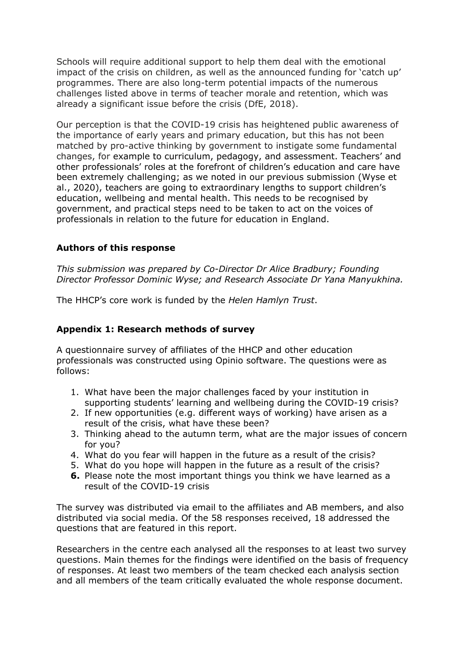Schools will require additional support to help them deal with the emotional impact of the crisis on children, as well as the announced funding for 'catch up' programmes. There are also long-term potential impacts of the numerous challenges listed above in terms of teacher morale and retention, which was already a significant issue before the crisis (DfE, 2018).

Our perception is that the COVID-19 crisis has heightened public awareness of the importance of early years and primary education, but this has not been matched by pro-active thinking by government to instigate some fundamental changes, for example to curriculum, pedagogy, and assessment. Teachers' and other professionals' roles at the forefront of children's education and care have been extremely challenging; as we noted in our previous submission (Wyse et al., 2020), teachers are going to extraordinary lengths to support children's education, wellbeing and mental health. This needs to be recognised by government, and practical steps need to be taken to act on the voices of professionals in relation to the future for education in England.

### **Authors of this response**

*This submission was prepared by Co-Director Dr Alice Bradbury; Founding Director Professor Dominic Wyse; and Research Associate Dr Yana Manyukhina.*

The HHCP's core work is funded by the *Helen Hamlyn Trust*.

### **Appendix 1: Research methods of survey**

A questionnaire survey of affiliates of the HHCP and other education professionals was constructed using Opinio software. The questions were as follows:

- 1. What have been the major challenges faced by your institution in supporting students' learning and wellbeing during the COVID-19 crisis?
- 2. If new opportunities (e.g. different ways of working) have arisen as a result of the crisis, what have these been?
- 3. Thinking ahead to the autumn term, what are the major issues of concern for you?
- 4. What do you fear will happen in the future as a result of the crisis?
- 5. What do you hope will happen in the future as a result of the crisis?
- **6.** Please note the most important things you think we have learned as a result of the COVID-19 crisis

The survey was distributed via email to the affiliates and AB members, and also distributed via social media. Of the 58 responses received, 18 addressed the questions that are featured in this report.

Researchers in the centre each analysed all the responses to at least two survey questions. Main themes for the findings were identified on the basis of frequency of responses. At least two members of the team checked each analysis section and all members of the team critically evaluated the whole response document.